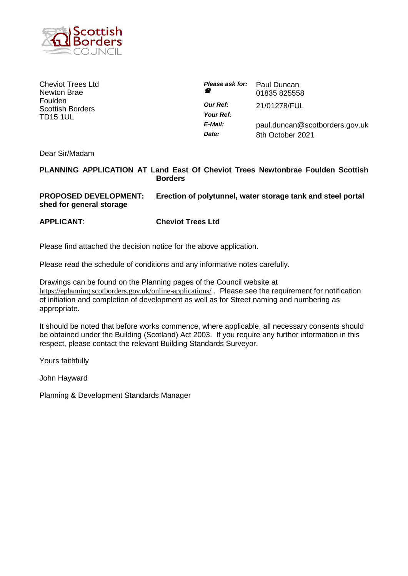

Cheviot Trees Ltd Newton Brae Foulden Scottish Borders TD15 1UL

| Please ask for:              | Paul Duncan                    |
|------------------------------|--------------------------------|
| - 20                         | 01835 825558                   |
| <b>Our Ref:</b><br>Your Ref: | 21/01278/FUL                   |
| E-Mail:                      | paul.duncan@scotborders.gov.uk |
| Date:                        | 8th October 2021               |

Dear Sir/Madam

# **PLANNING APPLICATION AT Land East Of Cheviot Trees Newtonbrae Foulden Scottish Borders**

# **PROPOSED DEVELOPMENT: Erection of polytunnel, water storage tank and steel portal shed for general storage**

**APPLICANT**: **Cheviot Trees Ltd**

Please find attached the decision notice for the above application.

Please read the schedule of conditions and any informative notes carefully.

Drawings can be found on the Planning pages of the Council website at <https://eplanning.scotborders.gov.uk/online-applications/> . Please see the requirement for notification of initiation and completion of development as well as for Street naming and numbering as appropriate.

It should be noted that before works commence, where applicable, all necessary consents should be obtained under the Building (Scotland) Act 2003. If you require any further information in this respect, please contact the relevant Building Standards Surveyor.

Yours faithfully

John Hayward

Planning & Development Standards Manager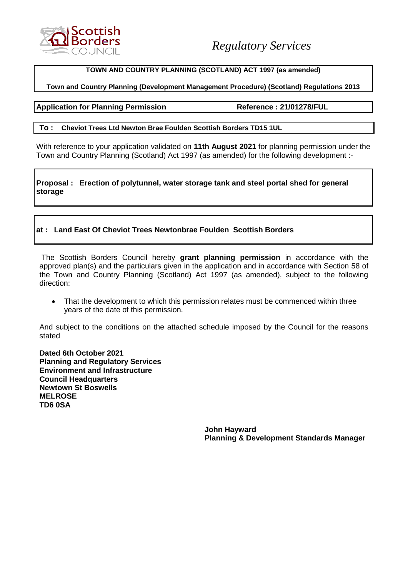

## **TOWN AND COUNTRY PLANNING (SCOTLAND) ACT 1997 (as amended)**

## **Town and Country Planning (Development Management Procedure) (Scotland) Regulations 2013**

**Application for Planning Permission Reference : 21/01278/FUL**

### **To : Cheviot Trees Ltd Newton Brae Foulden Scottish Borders TD15 1UL**

With reference to your application validated on **11th August 2021** for planning permission under the Town and Country Planning (Scotland) Act 1997 (as amended) for the following development :-

**Proposal : Erection of polytunnel, water storage tank and steel portal shed for general storage**

# **at : Land East Of Cheviot Trees Newtonbrae Foulden Scottish Borders**

The Scottish Borders Council hereby **grant planning permission** in accordance with the approved plan(s) and the particulars given in the application and in accordance with Section 58 of the Town and Country Planning (Scotland) Act 1997 (as amended), subject to the following direction:

• That the development to which this permission relates must be commenced within three years of the date of this permission.

And subject to the conditions on the attached schedule imposed by the Council for the reasons stated

**Dated 6th October 2021 Planning and Regulatory Services Environment and Infrastructure Council Headquarters Newtown St Boswells MELROSE TD6 0SA**

> **John Hayward Planning & Development Standards Manager**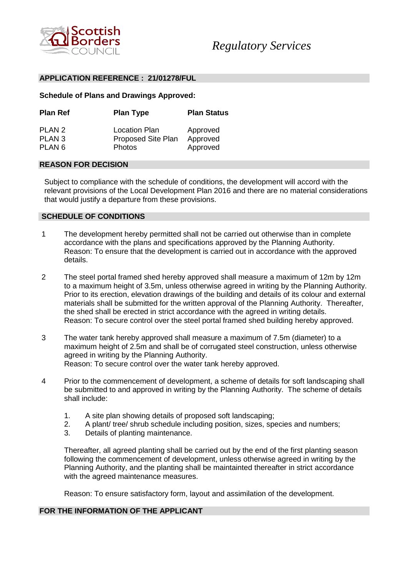

### **APPLICATION REFERENCE : 21/01278/FUL**

### **Schedule of Plans and Drawings Approved:**

| <b>Plan Ref</b>             | <b>Plan Type</b>                                  | <b>Plan Status</b>   |
|-----------------------------|---------------------------------------------------|----------------------|
| PLAN 2<br>PLAN <sub>3</sub> | <b>Location Plan</b><br><b>Proposed Site Plan</b> | Approved<br>Approved |
| PLAN <sub>6</sub>           | <b>Photos</b>                                     | Approved             |

## **REASON FOR DECISION**

Subject to compliance with the schedule of conditions, the development will accord with the relevant provisions of the Local Development Plan 2016 and there are no material considerations that would justify a departure from these provisions.

### **SCHEDULE OF CONDITIONS**

- 1 The development hereby permitted shall not be carried out otherwise than in complete accordance with the plans and specifications approved by the Planning Authority. Reason: To ensure that the development is carried out in accordance with the approved details.
- 2 The steel portal framed shed hereby approved shall measure a maximum of 12m by 12m to a maximum height of 3.5m, unless otherwise agreed in writing by the Planning Authority. Prior to its erection, elevation drawings of the building and details of its colour and external materials shall be submitted for the written approval of the Planning Authority. Thereafter, the shed shall be erected in strict accordance with the agreed in writing details. Reason: To secure control over the steel portal framed shed building hereby approved.
- 3 The water tank hereby approved shall measure a maximum of 7.5m (diameter) to a maximum height of 2.5m and shall be of corrugated steel construction, unless otherwise agreed in writing by the Planning Authority. Reason: To secure control over the water tank hereby approved.
- 4 Prior to the commencement of development, a scheme of details for soft landscaping shall be submitted to and approved in writing by the Planning Authority. The scheme of details shall include:
	- 1. A site plan showing details of proposed soft landscaping;
	- 2. A plant/ tree/ shrub schedule including position, sizes, species and numbers;
	- 3. Details of planting maintenance.

Thereafter, all agreed planting shall be carried out by the end of the first planting season following the commencement of development, unless otherwise agreed in writing by the Planning Authority, and the planting shall be maintainted thereafter in strict accordance with the agreed maintenance measures.

Reason: To ensure satisfactory form, layout and assimilation of the development.

# **FOR THE INFORMATION OF THE APPLICANT**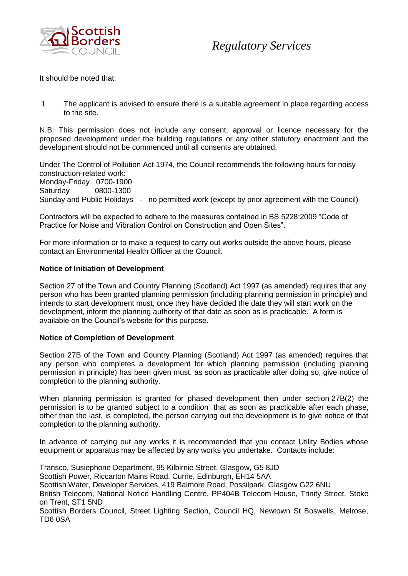

# *Regulatory Services*

It should be noted that:

1 The applicant is advised to ensure there is a suitable agreement in place regarding access to the site.

N.B: This permission does not include any consent, approval or licence necessary for the proposed development under the building regulations or any other statutory enactment and the development should not be commenced until all consents are obtained.

Under The Control of Pollution Act 1974, the Council recommends the following hours for noisy construction-related work: Monday-Friday 0700-1900 Saturday 0800-1300 Sunday and Public Holidays - no permitted work (except by prior agreement with the Council)

Contractors will be expected to adhere to the measures contained in BS 5228:2009 "Code of Practice for Noise and Vibration Control on Construction and Open Sites".

For more information or to make a request to carry out works outside the above hours, please contact an Environmental Health Officer at the Council.

## **Notice of Initiation of Development**

Section 27 of the Town and Country Planning (Scotland) Act 1997 (as amended) requires that any person who has been granted planning permission (including planning permission in principle) and intends to start development must, once they have decided the date they will start work on the development, inform the planning authority of that date as soon as is practicable. A form is available on the Council's website for this purpose.

#### **Notice of Completion of Development**

Section 27B of the Town and Country Planning (Scotland) Act 1997 (as amended) requires that any person who completes a development for which planning permission (including planning permission in principle) has been given must, as soon as practicable after doing so, give notice of completion to the planning authority.

When planning permission is granted for phased development then under section 27B(2) the permission is to be granted subject to a condition that as soon as practicable after each phase, other than the last, is completed, the person carrying out the development is to give notice of that completion to the planning authority.

In advance of carrying out any works it is recommended that you contact Utility Bodies whose equipment or apparatus may be affected by any works you undertake. Contacts include:

Transco, Susiephone Department, 95 Kilbirnie Street, Glasgow, G5 8JD Scottish Power, Riccarton Mains Road, Currie, Edinburgh, EH14 5AA Scottish Water, Developer Services, 419 Balmore Road, Possilpark, Glasgow G22 6NU British Telecom, National Notice Handling Centre, PP404B Telecom House, Trinity Street, Stoke on Trent, ST1 5ND Scottish Borders Council, Street Lighting Section, Council HQ, Newtown St Boswells, Melrose, TD6 0SA